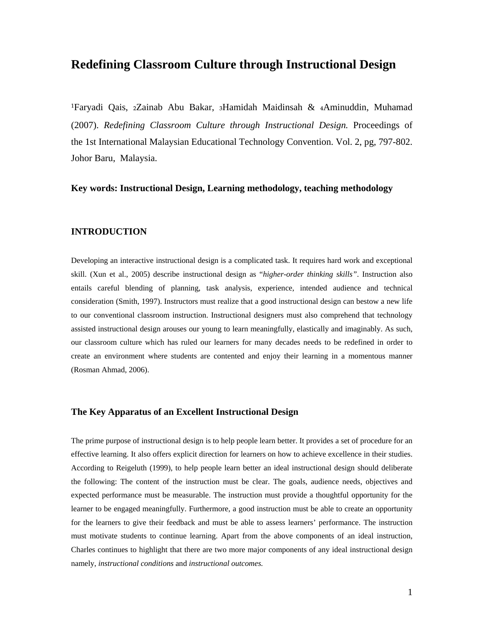# **Redefining Classroom Culture through Instructional Design**

<sup>1</sup>Faryadi Qais, 2Zainab Abu Bakar, 3Hamidah Maidinsah & 4Aminuddin, Muhamad (2007). *Redefining Classroom Culture through Instructional Design.* Proceedings of the 1st International Malaysian Educational Technology Convention. Vol. 2, pg, 797-802. Johor Baru, Malaysia.

# **Key words: Instructional Design, Learning methodology, teaching methodology**

## **INTRODUCTION**

Developing an interactive instructional design is a complicated task. It requires hard work and exceptional skill. (Xun et al., 2005) describe instructional design as "*higher-order thinking skills"*. Instruction also entails careful blending of planning, task analysis, experience, intended audience and technical consideration (Smith, 1997). Instructors must realize that a good instructional design can bestow a new life to our conventional classroom instruction. Instructional designers must also comprehend that technology assisted instructional design arouses our young to learn meaningfully, elastically and imaginably. As such, our classroom culture which has ruled our learners for many decades needs to be redefined in order to create an environment where students are contented and enjoy their learning in a momentous manner (Rosman Ahmad, 2006).

## **The Key Apparatus of an Excellent Instructional Design**

The prime purpose of instructional design is to help people learn better. It provides a set of procedure for an effective learning. It also offers explicit direction for learners on how to achieve excellence in their studies. According to Reigeluth (1999), to help people learn better an ideal instructional design should deliberate the following: The content of the instruction must be clear. The goals, audience needs, objectives and expected performance must be measurable. The instruction must provide a thoughtful opportunity for the learner to be engaged meaningfully. Furthermore, a good instruction must be able to create an opportunity for the learners to give their feedback and must be able to assess learners' performance. The instruction must motivate students to continue learning. Apart from the above components of an ideal instruction, Charles continues to highlight that there are two more major components of any ideal instructional design namely, *instructional conditions* and *instructional outcomes.*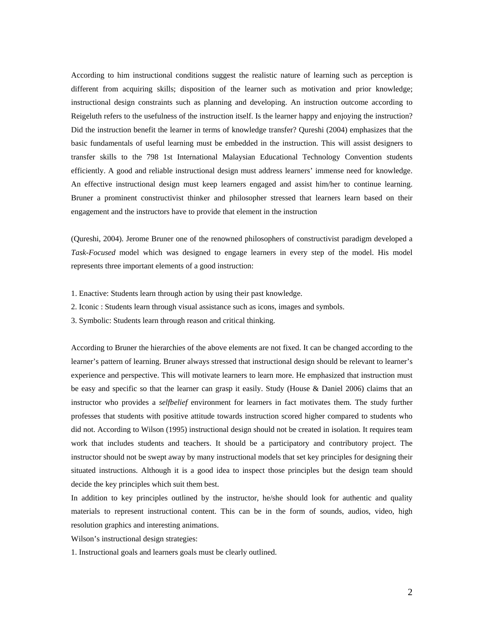According to him instructional conditions suggest the realistic nature of learning such as perception is different from acquiring skills; disposition of the learner such as motivation and prior knowledge; instructional design constraints such as planning and developing. An instruction outcome according to Reigeluth refers to the usefulness of the instruction itself. Is the learner happy and enjoying the instruction? Did the instruction benefit the learner in terms of knowledge transfer? Qureshi (2004) emphasizes that the basic fundamentals of useful learning must be embedded in the instruction. This will assist designers to transfer skills to the 798 1st International Malaysian Educational Technology Convention students efficiently. A good and reliable instructional design must address learners' immense need for knowledge. An effective instructional design must keep learners engaged and assist him/her to continue learning. Bruner a prominent constructivist thinker and philosopher stressed that learners learn based on their engagement and the instructors have to provide that element in the instruction

(Qureshi, 2004). Jerome Bruner one of the renowned philosophers of constructivist paradigm developed a *Task-Focused* model which was designed to engage learners in every step of the model. His model represents three important elements of a good instruction:

- 1. Enactive: Students learn through action by using their past knowledge.
- 2. Iconic : Students learn through visual assistance such as icons, images and symbols.
- 3. Symbolic: Students learn through reason and critical thinking.

According to Bruner the hierarchies of the above elements are not fixed. It can be changed according to the learner's pattern of learning. Bruner always stressed that instructional design should be relevant to learner's experience and perspective. This will motivate learners to learn more. He emphasized that instruction must be easy and specific so that the learner can grasp it easily. Study (House & Daniel 2006) claims that an instructor who provides a *selfbelief* environment for learners in fact motivates them. The study further professes that students with positive attitude towards instruction scored higher compared to students who did not. According to Wilson (1995) instructional design should not be created in isolation. It requires team work that includes students and teachers. It should be a participatory and contributory project. The instructor should not be swept away by many instructional models that set key principles for designing their situated instructions. Although it is a good idea to inspect those principles but the design team should decide the key principles which suit them best.

In addition to key principles outlined by the instructor, he/she should look for authentic and quality materials to represent instructional content. This can be in the form of sounds, audios, video, high resolution graphics and interesting animations.

Wilson's instructional design strategies:

1. Instructional goals and learners goals must be clearly outlined.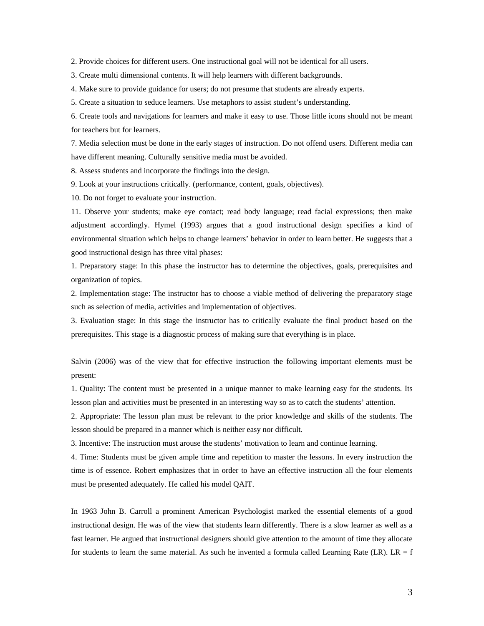2. Provide choices for different users. One instructional goal will not be identical for all users.

3. Create multi dimensional contents. It will help learners with different backgrounds.

4. Make sure to provide guidance for users; do not presume that students are already experts.

5. Create a situation to seduce learners. Use metaphors to assist student's understanding.

6. Create tools and navigations for learners and make it easy to use. Those little icons should not be meant for teachers but for learners.

7. Media selection must be done in the early stages of instruction. Do not offend users. Different media can have different meaning. Culturally sensitive media must be avoided.

8. Assess students and incorporate the findings into the design.

9. Look at your instructions critically. (performance, content, goals, objectives).

10. Do not forget to evaluate your instruction.

11. Observe your students; make eye contact; read body language; read facial expressions; then make adjustment accordingly. Hymel (1993) argues that a good instructional design specifies a kind of environmental situation which helps to change learners' behavior in order to learn better. He suggests that a good instructional design has three vital phases:

1. Preparatory stage: In this phase the instructor has to determine the objectives, goals, prerequisites and organization of topics.

2. Implementation stage: The instructor has to choose a viable method of delivering the preparatory stage such as selection of media, activities and implementation of objectives.

3. Evaluation stage: In this stage the instructor has to critically evaluate the final product based on the prerequisites. This stage is a diagnostic process of making sure that everything is in place.

Salvin (2006) was of the view that for effective instruction the following important elements must be present:

1. Quality: The content must be presented in a unique manner to make learning easy for the students. Its lesson plan and activities must be presented in an interesting way so as to catch the students' attention.

2. Appropriate: The lesson plan must be relevant to the prior knowledge and skills of the students. The lesson should be prepared in a manner which is neither easy nor difficult.

3. Incentive: The instruction must arouse the students' motivation to learn and continue learning.

4. Time: Students must be given ample time and repetition to master the lessons. In every instruction the time is of essence. Robert emphasizes that in order to have an effective instruction all the four elements must be presented adequately. He called his model QAIT.

In 1963 John B. Carroll a prominent American Psychologist marked the essential elements of a good instructional design. He was of the view that students learn differently. There is a slow learner as well as a fast learner. He argued that instructional designers should give attention to the amount of time they allocate for students to learn the same material. As such he invented a formula called Learning Rate  $(LR)$ .  $LR = f$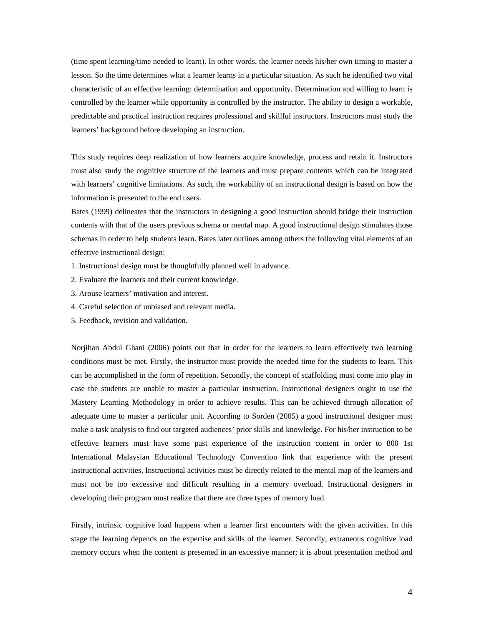(time spent learning/time needed to learn). In other words, the learner needs his/her own timing to master a lesson. So the time determines what a learner learns in a particular situation. As such he identified two vital characteristic of an effective learning: determination and opportunity. Determination and willing to learn is controlled by the learner while opportunity is controlled by the instructor. The ability to design a workable, predictable and practical instruction requires professional and skillful instructors. Instructors must study the learners' background before developing an instruction.

This study requires deep realization of how learners acquire knowledge, process and retain it. Instructors must also study the cognitive structure of the learners and must prepare contents which can be integrated with learners' cognitive limitations. As such, the workability of an instructional design is based on how the information is presented to the end users.

Bates (1999) delineates that the instructors in designing a good instruction should bridge their instruction contents with that of the users previous schema or mental map. A good instructional design stimulates those schemas in order to help students learn. Bates later outlines among others the following vital elements of an effective instructional design:

- 1. Instructional design must be thoughtfully planned well in advance.
- 2. Evaluate the learners and their current knowledge.
- 3. Arouse learners' motivation and interest.
- 4. Careful selection of unbiased and relevant media.
- 5. Feedback, revision and validation.

Norjihan Abdul Ghani (2006) points out that in order for the learners to learn effectively two learning conditions must be met. Firstly, the instructor must provide the needed time for the students to learn. This can be accomplished in the form of repetition. Secondly, the concept of scaffolding must come into play in case the students are unable to master a particular instruction. Instructional designers ought to use the Mastery Learning Methodology in order to achieve results. This can be achieved through allocation of adequate time to master a particular unit. According to Sorden (2005) a good instructional designer must make a task analysis to find out targeted audiences' prior skills and knowledge. For his/her instruction to be effective learners must have some past experience of the instruction content in order to 800 1st International Malaysian Educational Technology Convention link that experience with the present instructional activities. Instructional activities must be directly related to the mental map of the learners and must not be too excessive and difficult resulting in a memory overload. Instructional designers in developing their program must realize that there are three types of memory load.

Firstly, intrinsic cognitive load happens when a learner first encounters with the given activities. In this stage the learning depends on the expertise and skills of the learner. Secondly, extraneous cognitive load memory occurs when the content is presented in an excessive manner; it is about presentation method and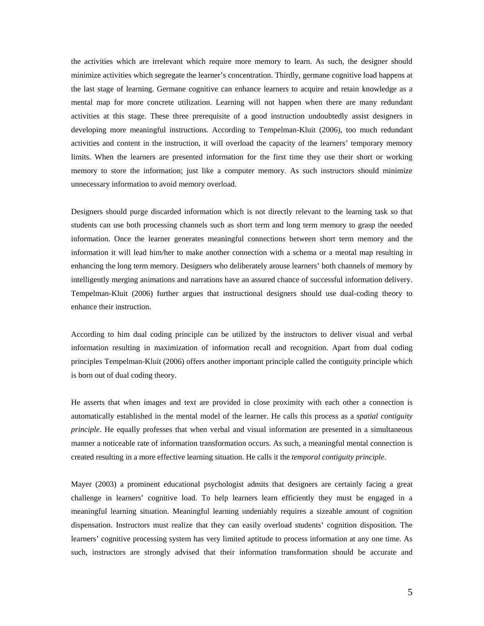the activities which are irrelevant which require more memory to learn. As such, the designer should minimize activities which segregate the learner's concentration. Thirdly, germane cognitive load happens at the last stage of learning. Germane cognitive can enhance learners to acquire and retain knowledge as a mental map for more concrete utilization. Learning will not happen when there are many redundant activities at this stage. These three prerequisite of a good instruction undoubtedly assist designers in developing more meaningful instructions. According to Tempelman-Kluit (2006), too much redundant activities and content in the instruction, it will overload the capacity of the learners' temporary memory limits. When the learners are presented information for the first time they use their short or working memory to store the information; just like a computer memory. As such instructors should minimize unnecessary information to avoid memory overload.

Designers should purge discarded information which is not directly relevant to the learning task so that students can use both processing channels such as short term and long term memory to grasp the needed information. Once the learner generates meaningful connections between short term memory and the information it will lead him/her to make another connection with a schema or a mental map resulting in enhancing the long term memory. Designers who deliberately arouse learners' both channels of memory by intelligently merging animations and narrations have an assured chance of successful information delivery. Tempelman-Kluit (2006) further argues that instructional designers should use dual-coding theory to enhance their instruction.

According to him dual coding principle can be utilized by the instructors to deliver visual and verbal information resulting in maximization of information recall and recognition. Apart from dual coding principles Tempelman-Kluit (2006) offers another important principle called the contiguity principle which is born out of dual coding theory.

He asserts that when images and text are provided in close proximity with each other a connection is automatically established in the mental model of the learner. He calls this process as a *spatial contiguity principle*. He equally professes that when verbal and visual information are presented in a simultaneous manner a noticeable rate of information transformation occurs. As such, a meaningful mental connection is created resulting in a more effective learning situation. He calls it the *temporal contiguity principle*.

Mayer (2003) a prominent educational psychologist admits that designers are certainly facing a great challenge in learners' cognitive load. To help learners learn efficiently they must be engaged in a meaningful learning situation. Meaningful learning undeniably requires a sizeable amount of cognition dispensation. Instructors must realize that they can easily overload students' cognition disposition. The learners' cognitive processing system has very limited aptitude to process information at any one time. As such, instructors are strongly advised that their information transformation should be accurate and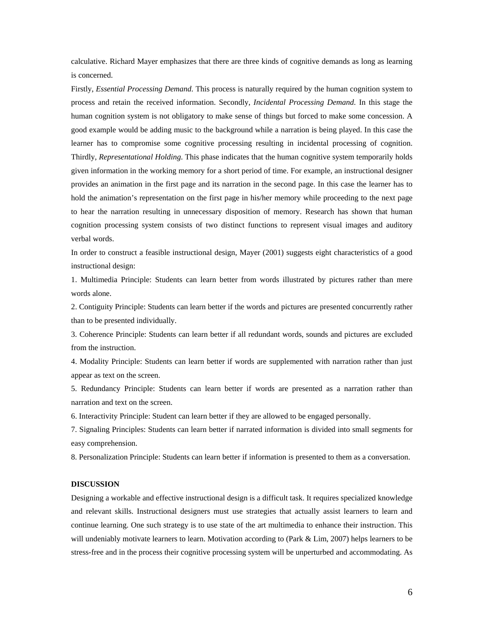calculative. Richard Mayer emphasizes that there are three kinds of cognitive demands as long as learning is concerned.

Firstly, *Essential Processing Demand*. This process is naturally required by the human cognition system to process and retain the received information. Secondly, *Incidental Processing Demand*. In this stage the human cognition system is not obligatory to make sense of things but forced to make some concession. A good example would be adding music to the background while a narration is being played. In this case the learner has to compromise some cognitive processing resulting in incidental processing of cognition. Thirdly, *Representational Holding*. This phase indicates that the human cognitive system temporarily holds given information in the working memory for a short period of time. For example, an instructional designer provides an animation in the first page and its narration in the second page. In this case the learner has to hold the animation's representation on the first page in his/her memory while proceeding to the next page to hear the narration resulting in unnecessary disposition of memory. Research has shown that human cognition processing system consists of two distinct functions to represent visual images and auditory verbal words.

In order to construct a feasible instructional design, Mayer (2001) suggests eight characteristics of a good instructional design:

1. Multimedia Principle: Students can learn better from words illustrated by pictures rather than mere words alone.

2. Contiguity Principle: Students can learn better if the words and pictures are presented concurrently rather than to be presented individually.

3. Coherence Principle: Students can learn better if all redundant words, sounds and pictures are excluded from the instruction.

4. Modality Principle: Students can learn better if words are supplemented with narration rather than just appear as text on the screen.

5. Redundancy Principle: Students can learn better if words are presented as a narration rather than narration and text on the screen.

6. Interactivity Principle: Student can learn better if they are allowed to be engaged personally.

7. Signaling Principles: Students can learn better if narrated information is divided into small segments for easy comprehension.

8. Personalization Principle: Students can learn better if information is presented to them as a conversation.

#### **DISCUSSION**

Designing a workable and effective instructional design is a difficult task. It requires specialized knowledge and relevant skills. Instructional designers must use strategies that actually assist learners to learn and continue learning. One such strategy is to use state of the art multimedia to enhance their instruction. This will undeniably motivate learners to learn. Motivation according to (Park & Lim, 2007) helps learners to be stress-free and in the process their cognitive processing system will be unperturbed and accommodating. As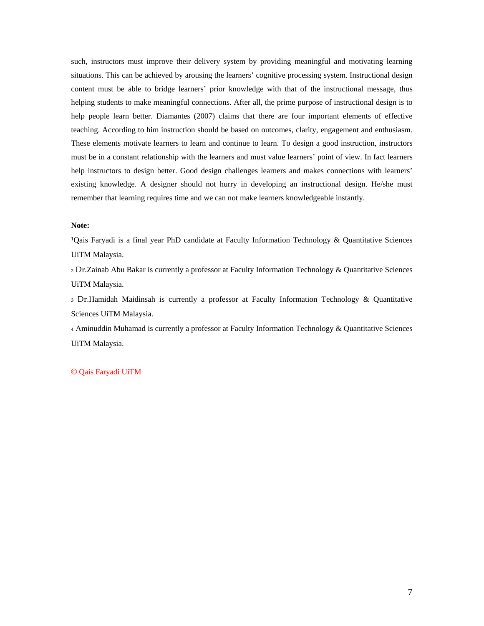such, instructors must improve their delivery system by providing meaningful and motivating learning situations. This can be achieved by arousing the learners' cognitive processing system. Instructional design content must be able to bridge learners' prior knowledge with that of the instructional message, thus helping students to make meaningful connections. After all, the prime purpose of instructional design is to help people learn better. Diamantes (2007) claims that there are four important elements of effective teaching. According to him instruction should be based on outcomes, clarity, engagement and enthusiasm. These elements motivate learners to learn and continue to learn. To design a good instruction, instructors must be in a constant relationship with the learners and must value learners' point of view. In fact learners help instructors to design better. Good design challenges learners and makes connections with learners' existing knowledge. A designer should not hurry in developing an instructional design. He/she must remember that learning requires time and we can not make learners knowledgeable instantly.

#### **Note:**

<sup>1</sup>Qais Faryadi is a final year PhD candidate at Faculty Information Technology & Quantitative Sciences UiTM Malaysia.

₂ Dr.Zainab Abu Bakar is currently a professor at Faculty Information Technology & Quantitative Sciences UiTM Malaysia.

₃ Dr.Hamidah Maidinsah is currently a professor at Faculty Information Technology & Quantitative Sciences UiTM Malaysia.

₄ Aminuddin Muhamad is currently a professor at Faculty Information Technology & Quantitative Sciences UiTM Malaysia.

### © Qais Faryadi UiTM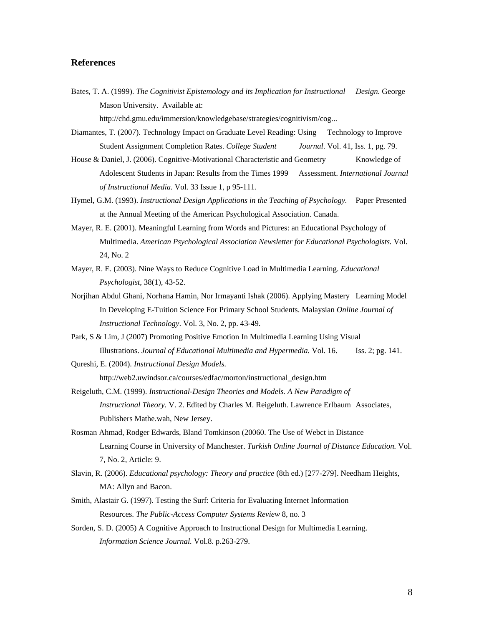# **References**

- Bates, T. A. (1999). *The Cognitivist Epistemology and its Implication for Instructional Design.* George Mason University. Available at: http://chd.gmu.edu/immersion/knowledgebase/strategies/cognitivism/cog...
- Diamantes, T. (2007). Technology Impact on Graduate Level Reading: Using Technology to Improve Student Assignment Completion Rates. *College Student Journal*. Vol. 41, Iss. 1, pg. 79.
- House & Daniel, J. (2006). Cognitive-Motivational Characteristic and Geometry Knowledge of Adolescent Students in Japan: Results from the Times 1999 Assessment. *International Journal of Instructional Media.* Vol. 33 Issue 1, p 95-111.
- Hymel, G.M. (1993). *Instructional Design Applications in the Teaching of Psychology.* Paper Presented at the Annual Meeting of the American Psychological Association. Canada.
- Mayer, R. E. (2001). Meaningful Learning from Words and Pictures: an Educational Psychology of Multimedia. *American Psychological Association Newsletter for Educational Psychologists.* Vol. 24, No. 2
- Mayer, R. E. (2003). Nine Ways to Reduce Cognitive Load in Multimedia Learning. *Educational Psychologist*, 38(1), 43-52.
- Norjihan Abdul Ghani, Norhana Hamin, Nor Irmayanti Ishak (2006). Applying Mastery Learning Model In Developing E-Tuition Science For Primary School Students. Malaysian *Online Journal of Instructional Technology*. Vol. 3, No. 2, pp. 43-49.
- Park, S & Lim, J (2007) Promoting Positive Emotion In Multimedia Learning Using Visual Illustrations. *Journal of Educational Multimedia and Hypermedia*. Vol. 16. **Iss.** 2; pg. 141.
- Qureshi, E. (2004). *Instructional Design Models.*  http://web2.uwindsor.ca/courses/edfac/morton/instructional\_design.htm
- Reigeluth, C.M. (1999). *Instructional-Design Theories and Models. A New Paradigm of Instructional Theory.* V. 2. Edited by Charles M. Reigeluth. Lawrence Erlbaum Associates, Publishers Mathe.wah, New Jersey.
- Rosman Ahmad, Rodger Edwards, Bland Tomkinson (20060. The Use of Webct in Distance Learning Course in University of Manchester. *Turkish Online Journal of Distance Education.* Vol. 7, No. 2, Article: 9.
- Slavin, R. (2006). *Educational psychology: Theory and practice* (8th ed.) [277-279]. Needham Heights, MA: Allyn and Bacon.
- Smith, Alastair G. (1997). Testing the Surf: Criteria for Evaluating Internet Information Resources. *The Public-Access Computer Systems Review* 8, no. 3
- Sorden, S. D. (2005) A Cognitive Approach to Instructional Design for Multimedia Learning. *Information Science Journal.* Vol.8. p.263-279.